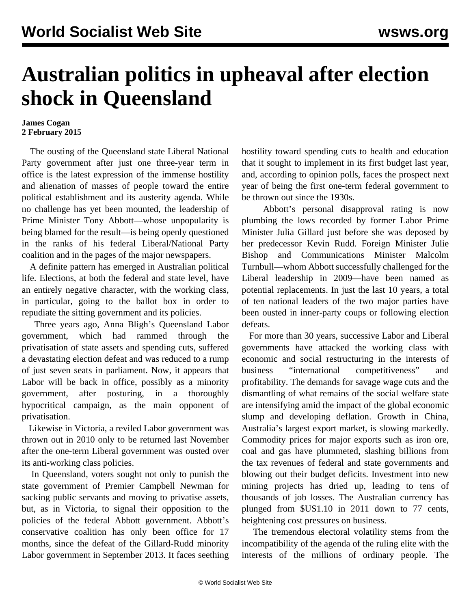## **Australian politics in upheaval after election shock in Queensland**

## **James Cogan 2 February 2015**

 The ousting of the Queensland state Liberal National Party government after just one three-year term in office is the latest expression of the immense hostility and alienation of masses of people toward the entire political establishment and its austerity agenda. While no challenge has yet been mounted, the leadership of Prime Minister Tony Abbott—whose unpopularity is being blamed for the result—is being openly questioned in the ranks of his federal Liberal/National Party coalition and in the pages of the major newspapers.

 A definite pattern has emerged in Australian political life. Elections, at both the federal and state level, have an entirely negative character, with the working class, in particular, going to the ballot box in order to repudiate the sitting government and its policies.

 Three years ago, Anna Bligh's Queensland Labor government, which had rammed through the privatisation of state assets and spending cuts, suffered a devastating election defeat and was reduced to a rump of just seven seats in parliament. Now, it appears that Labor will be back in office, possibly as a minority government, after posturing, in a thoroughly hypocritical campaign, as the main opponent of privatisation.

 Likewise in Victoria, a reviled Labor government was thrown out in 2010 only to be returned last November after the one-term Liberal government was ousted over its anti-working class policies.

 In Queensland, voters sought not only to punish the state government of Premier Campbell Newman for sacking public servants and moving to privatise assets, but, as in Victoria, to signal their opposition to the policies of the federal Abbott government. Abbott's conservative coalition has only been office for 17 months, since the defeat of the Gillard-Rudd minority Labor government in September 2013. It faces seething

hostility toward spending cuts to health and education that it sought to implement in its first budget last year, and, according to opinion polls, faces the prospect next year of being the first one-term federal government to be thrown out since the 1930s.

 Abbott's personal disapproval rating is now plumbing the lows recorded by former Labor Prime Minister Julia Gillard just before she was deposed by her predecessor Kevin Rudd. Foreign Minister Julie Bishop and Communications Minister Malcolm Turnbull—whom Abbott successfully challenged for the Liberal leadership in 2009—have been named as potential replacements. In just the last 10 years, a total of ten national leaders of the two major parties have been ousted in inner-party coups or following election defeats.

 For more than 30 years, successive Labor and Liberal governments have attacked the working class with economic and social restructuring in the interests of business "international competitiveness" and profitability. The demands for savage wage cuts and the dismantling of what remains of the social welfare state are intensifying amid the impact of the global economic slump and developing deflation. Growth in China, Australia's largest export market, is slowing markedly. Commodity prices for major exports such as iron ore, coal and gas have plummeted, slashing billions from the tax revenues of federal and state governments and blowing out their budget deficits. Investment into new mining projects has dried up, leading to tens of thousands of job losses. The Australian currency has plunged from \$US1.10 in 2011 down to 77 cents, heightening cost pressures on business.

 The tremendous electoral volatility stems from the incompatibility of the agenda of the ruling elite with the interests of the millions of ordinary people. The